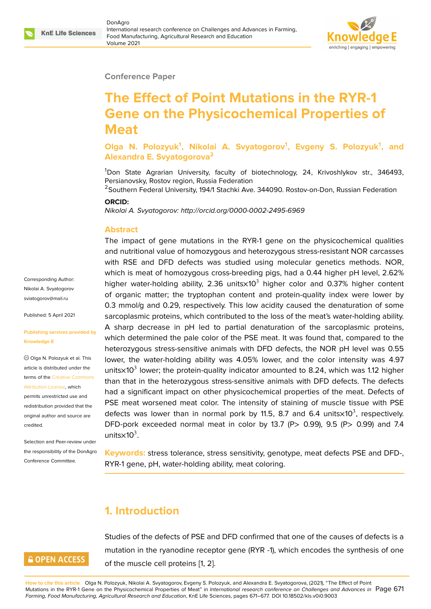#### **Conference Paper**

# **The Effect of Point Mutations in the RYR-1 Gene on the Physicochemical Properties of Meat**

**Olga N. Polozyuk<sup>1</sup> , Nikolai A. Svyatogorov<sup>1</sup> , Evgeny S. Polozyuk<sup>1</sup> , and Alexandra E. Svyatogorova<sup>2</sup>**

<sup>1</sup>Don State Agrarian University, faculty of biotechnology, 24, Krivoshlykov str., 346493, Persianovsky, Rostov region, Russia Federation

<sup>2</sup>Southern Federal University, 194/1 Stachki Ave. 344090. Rostov-on-Don, Russian Federation

#### **ORCID:**

*Nikolai A. Svyatogorov: http://orcid.org/0000-0002-2495-6969*

#### **Abstract**

The impact of gene mutations in the RYR-1 gene on the physicochemical qualities and nutritional value of homozygous and heterozygous stress-resistant NOR carcasses with RSE and DFD defects was studied using molecular genetics methods. NOR, which is meat of homozygous cross-breeding pigs, had a 0.44 higher pH level, 2.62% higher water-holding ability, 2.36 units $\times$ 10<sup>3</sup> higher color and 0.37% higher content of organic matter; the tryptophan content and protein-quality index were lower by 0.3 mmol/g and 0.29, respectively. This low acidity caused the denaturation of some sarcoplasmic proteins, which contributed to the loss of the meat's water-holding ability. A sharp decrease in pH led to partial denaturation of the sarcoplasmic proteins, which determined the pale color of the PSE meat. It was found that, compared to the heterozygous stress-sensitive animals with DFD defects, the NOR pH level was 0.55 lower, the water-holding ability was 4.05% lower, and the color intensity was 4.97 units $\times$ 10<sup>3</sup> lower; the protein-quality indicator amounted to 8.24, which was 1.12 higher than that in the heterozygous stress-sensitive animals with DFD defects. The defects had a significant impact on other physicochemical properties of the meat. Defects of PSE meat worsened meat color. The intensity of staining of muscle tissue with PSE defects was lower than in normal pork by 11.5, 8.7 and 6.4 units $\times$ 10<sup>3</sup>, respectively. DFD-pork exceeded normal meat in color by 13.7 (P> 0.99), 9.5 (P> 0.99) and 7.4 units $\times$ 10<sup>3</sup>.

**Keywords:** stress tolerance, stress sensitivity, genotype, meat defects PSE and DFD-, RYR-1 gene, pH, water-holding ability, meat coloring.

# **1. Introduction**

### **GOPEN ACCESS**

Studies of the defects of PSE and DFD confirmed that one of the causes of defects is a mutation in the ryanodine receptor gene (RYR -1), which encodes the synthesis of one of the muscle cell proteins [1, 2].

Corresponding Author: Nikolai A. Svyatogorov sviatogorov@mail.ru

Published: 5 April 2021

#### **[Publishing services](mailto:sviatogorov@mail.ru) provided by Knowledge E**

Olga N. Polozyuk et al. This article is distributed under the terms of the Creative Commons Attribution License, which

permits unrestricted use and redistribution provided that the original auth[or and source are](https://creativecommons.org/licenses/by/4.0/) [credited.](https://creativecommons.org/licenses/by/4.0/)

Selection and Peer-review under the responsibility of the DonAgro Conference Committee.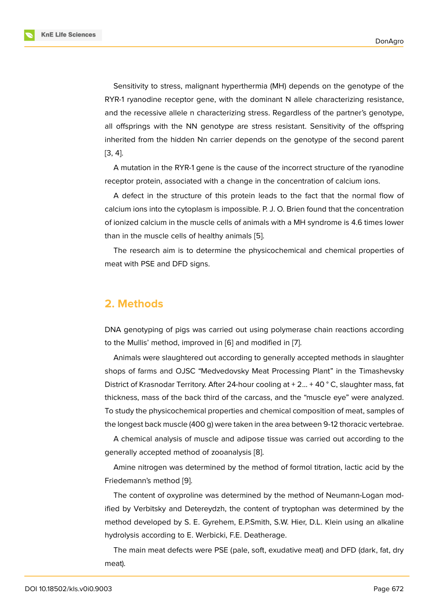Sensitivity to stress, malignant hyperthermia (MH) depends on the genotype of the RYR-1 ryanodine receptor gene, with the dominant N allele characterizing resistance, and the recessive allele n characterizing stress. Regardless of the partner's genotype, all offsprings with the NN genotype are stress resistant. Sensitivity of the offspring inherited from the hidden Nn carrier depends on the genotype of the second parent [3, 4].

A mutation in the RYR-1 gene is the cause of the incorrect structure of the ryanodine receptor protein, associated with a change in the concentration of calcium ions.

[A](#page-5-2) defect in the structure of this protein leads to the fact that the normal flow of calcium ions into the cytoplasm is impossible. P. J. O. Brien found that the concentration of ionized calcium in the muscle cells of animals with a MH syndrome is 4.6 times lower than in the muscle cells of healthy animals [5].

The research aim is to determine the physicochemical and chemical properties of meat with PSE and DFD signs.

#### **2. Methods**

DNA genotyping of pigs was carried out using polymerase chain reactions according to the Mullis' method, improved in [6] and modified in [7].

Animals were slaughtered out according to generally accepted methods in slaughter shops of farms and OJSC "Medvedovsky Meat Processing Plant" in the Timashevsky District of Krasnodar Territory. After [2](#page-5-3)4-hour cooling at  $+ 2... + 40$  $+ 2... + 40$  ° C, slaughter mass, fat thickness, mass of the back third of the carcass, and the "muscle eye" were analyzed. To study the physicochemical properties and chemical composition of meat, samples of the longest back muscle (400 g) were taken in the area between 9-12 thoracic vertebrae.

A chemical analysis of muscle and adipose tissue was carried out according to the generally accepted method of zooanalysis [8].

Amine nitrogen was determined by the method of formol titration, lactic acid by the Friedemann's method [9].

The content of oxyproline was determin[ed](#page-5-5) by the method of Neumann-Logan modified by Verbitsky and Detereydzh, the content of tryptophan was determined by the method developed by [S](#page-5-6). E. Gyrehem, E.P.Smith, S.W. Hier, D.L. Klein using an alkaline hydrolysis according to E. Werbicki, F.E. Deatherage.

The main meat defects were PSE (pale, soft, exudative meat) and DFD (dark, fat, dry meat).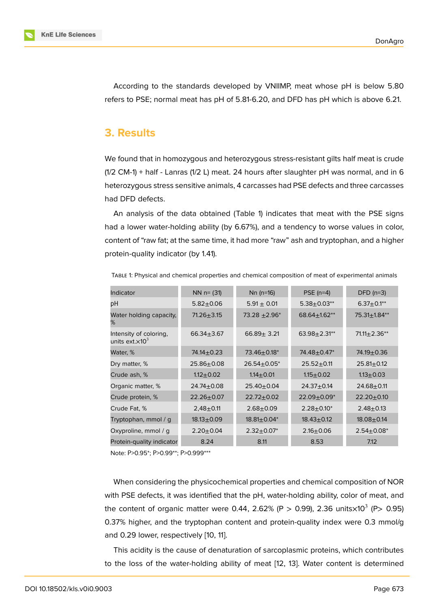According to the standards developed by VNIIMP, meat whose pH is below 5.80 refers to PSE; normal meat has pH of 5.81-6.20, and DFD has pH which is above 6.21.

#### **3. Results**

We found that in homozygous and heterozygous stress-resistant gilts half meat is crude  $(1/2 \text{ CM-1})$  + half - Lanras  $(1/2 \text{ L})$  meat. 24 hours after slaughter pH was normal, and in 6 heterozygous stress sensitive animals, 4 carcasses had PSE defects and three carcasses had DFD defects.

An analysis of the data obtained (Table 1) indicates that meat with the PSE signs had a lower water-holding ability (by 6.67%), and a tendency to worse values in color, content of "raw fat; at the same time, it had more "raw" ash and tryptophan, and a higher protein-quality indicator (by 1.41).

|  |  |  | TABLE 1: Physical and chemical properties and chemical composition of meat of experimental animals |
|--|--|--|----------------------------------------------------------------------------------------------------|
|--|--|--|----------------------------------------------------------------------------------------------------|

| Indicator                                                     | $NN$ n= (31)     | $Nn$ (n=16)        | PSE $(n=4)$        | $DFD(n=3)$         |
|---------------------------------------------------------------|------------------|--------------------|--------------------|--------------------|
| рH                                                            | $5.82 + 0.06$    | $5.91 \pm 0.01$    | $5.38 \pm 0.03**$  | $6.37 \pm 0.1***$  |
| Water holding capacity,<br>℅                                  | $71.26 + 3.15$   | $73.28 + 2.96*$    | $68.64 \pm 1.62**$ | $75.31 \pm 1.84**$ |
| Intensity of coloring,<br>units ext. $\times$ 10 <sup>3</sup> | 66.34 $\pm$ 3.67 | $66.89 \pm 3.21$   | $63.98 + 2.31**$   | $71.11 \pm 2.36**$ |
| Water, %                                                      | 74.14 $\pm$ 0.23 | $73.46 \pm 0.18^*$ | 74.48±0.47*        | 74.19±0.36         |
| Dry matter, %                                                 | $25.86 + 0.08$   | $26.54 \pm 0.05^*$ | $25.52 + 0.11$     | $25.81 \pm 0.12$   |
| Crude ash, %                                                  | $1.12 + 0.02$    | $1.14 \pm 0.01$    | $1.15 + 0.02$      | $1.13 + 0.03$      |
| Organic matter, %                                             | $24.74 \pm 0.08$ | $25.40 \pm 0.04$   | $24.37 + 0.14$     | $24.68 + 0.11$     |
| Crude protein, %                                              | $22.26 + 0.07$   | $22.72 + 0.02$     | $22.09 + 0.09*$    | $22.20 + 0.10$     |
| Crude Fat, %                                                  | $2,48+0.11$      | $2.68 + 0.09$      | $2.28 + 0.10^*$    | $2.48 + 0.13$      |
| Tryptophan, mmol / q                                          | $18.13 + 0.09$   | $18.81 \pm 0.04*$  | $18.43 \pm 0.12$   | $18.08 + 0.14$     |
| Oxyproline, mmol / q                                          | $2.20 \pm 0.04$  | $2.32 \pm 0.07^*$  | $2.16 + 0.06$      | $2.54 \pm 0.08^*$  |
| Protein-quality indicator                                     | 8.24             | 8.11               | 8.53               | 7.12               |

Note: Р>0.95\*; Р>0.99\*\*; Р>0.999\*\*\*

When considering the physicochemical properties and chemical composition of NOR with PSE defects, it was identified that the pH, water-holding ability, color of meat, and the content of organic matter were 0.44, 2.62% (P > 0.99), 2.36 units $\times$ 10<sup>3</sup> (P> 0.95) 0.37% higher, and the tryptophan content and protein-quality index were 0.3 mmol/g and 0.29 lower, respectively [10, 11].

This acidity is the cause of denaturation of sarcoplasmic proteins, which contributes to the loss of the water-hold[ing](#page-5-7) [a](#page-5-8)bility of meat [12, 13]. Water content is determined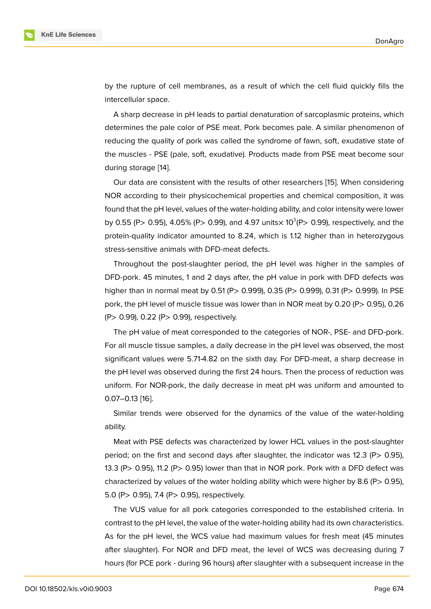by the rupture of cell membranes, as a result of which the cell fluid quickly fills the intercellular space.

A sharp decrease in pH leads to partial denaturation of sarcoplasmic proteins, which determines the pale color of PSE meat. Pork becomes pale. A similar phenomenon of reducing the quality of pork was called the syndrome of fawn, soft, exudative state of the muscles - PSE (pale, soft, exudative). Products made from PSE meat become sour during storage [14].

Our data are consistent with the results of other researchers [15]. When considering NOR according to their physicochemical properties and chemical composition, it was found that the p[H l](#page-6-0)evel, values of the water-holding ability, and color intensity were lower by 0.55 (P> 0.95), 4.05% (P> 0.99), and 4.97 units $\times$  10<sup>3</sup>(P> 0.99[\), re](#page-6-1)spectively, and the protein-quality indicator amounted to 8.24, which is 1.12 higher than in heterozygous stress-sensitive animals with DFD-meat defects.

Throughout the post-slaughter period, the pH level was higher in the samples of DFD-pork. 45 minutes, 1 and 2 days after, the pH value in pork with DFD defects was higher than in normal meat by 0.51 (P> 0.999), 0.35 (P> 0.999), 0.31 (P> 0.999). In PSE pork, the pH level of muscle tissue was lower than in NOR meat by 0.20 (P> 0.95), 0.26 (P> 0.99), 0.22 (P> 0.99), respectively.

The pH value of meat corresponded to the categories of NOR-, PSE- and DFD-pork. For all muscle tissue samples, a daily decrease in the pH level was observed, the most significant values were 5.71-4.82 on the sixth day. For DFD-meat, a sharp decrease in the pH level was observed during the first 24 hours. Then the process of reduction was uniform. For NOR-pork, the daily decrease in meat pH was uniform and amounted to 0.07–0.13 [16].

Similar trends were observed for the dynamics of the value of the water-holding ability.

Meat wi[th P](#page-6-2)SE defects was characterized by lower HCL values in the post-slaughter period; on the first and second days after slaughter, the indicator was 12.3 (P> 0.95), 13.3 (P> 0.95), 11.2 (P> 0.95) lower than that in NOR pork. Pork with a DFD defect was characterized by values of the water holding ability which were higher by 8.6 (P $>$  0.95), 5.0 (P> 0.95), 7.4 (P> 0.95), respectively.

The VUS value for all pork categories corresponded to the established criteria. In contrast to the pH level, the value of the water-holding ability had its own characteristics. As for the pH level, the WCS value had maximum values for fresh meat (45 minutes after slaughter). For NOR and DFD meat, the level of WCS was decreasing during 7 hours (for PCE pork - during 96 hours) after slaughter with a subsequent increase in the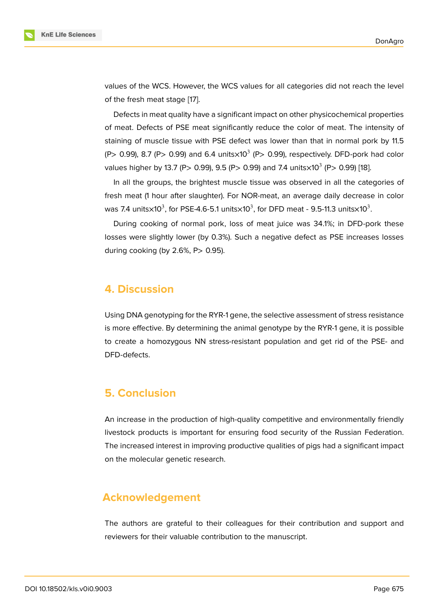values of the WCS. However, the WCS values for all categories did not reach the level of the fresh meat stage [17].

Defects in meat quality have a significant impact on other physicochemical properties of meat. Defects of PSE meat significantly reduce the color of meat. The intensity of staining of muscle tissu[e w](#page-6-3)ith PSE defect was lower than that in normal pork by 11.5 (P> 0.99), 8.7 (P> 0.99) and 6.4 units $\times$ 10 $^3$  (P> 0.99), respectively. DFD-pork had color values higher by 13.7 (P> 0.99), 9.5 (P> 0.99) and 7.4 units $\times$ 10 $^3$  (P> 0.99) [18].

In all the groups, the brightest muscle tissue was observed in all the categories of fresh meat (1 hour after slaughter). For NOR-meat, an average daily decrease in color was 7.4 units $\times$ [10](#page-6-4) $^3$ , for PSE-4.6-5.1 units $\times$ 10 $^3$ , for DFD meat - 9.5-11.3 units $\times$ 10 $^3$ .

During cooking of normal pork, loss of meat juice was 34.1%; in DFD-pork these losses were slightly lower (by 0.3%). Such a negative defect as PSE increases losses during cooking (by  $2.6\%$ , P $> 0.95$ ).

#### **4. Discussion**

Using DNA genotyping for the RYR-1 gene, the selective assessment of stress resistance is more effective. By determining the animal genotype by the RYR-1 gene, it is possible to create a homozygous NN stress-resistant population and get rid of the PSE- and DFD-defects.

# **5. Conclusion**

An increase in the production of high-quality competitive and environmentally friendly livestock products is important for ensuring food security of the Russian Federation. The increased interest in improving productive qualities of pigs had a significant impact on the molecular genetic research.

### **Acknowledgement**

The authors are grateful to their colleagues for their contribution and support and reviewers for their valuable contribution to the manuscript.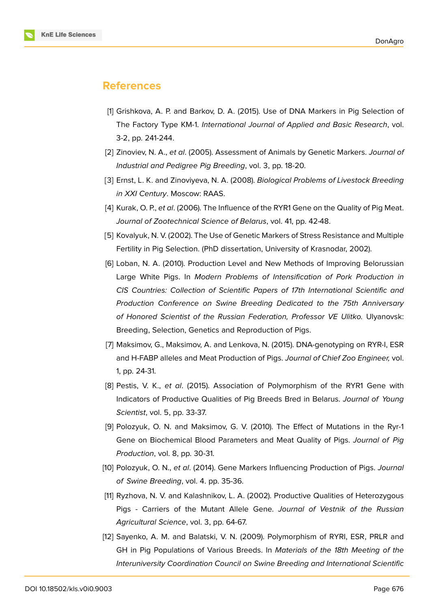

## **References**

- <span id="page-5-0"></span>[1] Grishkova, A. P. and Barkov, D. A. (2015). Use of DNA Markers in Pig Selection of The Factory Type KM-1. *International Journal of Applied and Basic Research*, vol. 3-2, pp. 241-244.
- <span id="page-5-1"></span>[2] Zinoviev, N. A., *et al*. (2005). Assessment of Animals by Genetic Markers. *Journal of Industrial and Pedigree Pig Breeding*, vol. 3, pp. 18-20.
- [3] Ernst, L. K. and Zinoviyeva, N. A. (2008). *Biological Problems of Livestock Breeding in XXI Century*. Moscow: RAAS.
- <span id="page-5-2"></span>[4] Kurak, O. P., *et al*. (2006). The Influence of the RYR1 Gene on the Quality of Pig Meat. *Journal of Zootechnical Science of Belarus*, vol. 41, pp. 42-48.
- [5] Kovalyuk, N. V. (2002). The Use of Genetic Markers of Stress Resistance and Multiple Fertility in Pig Selection. (PhD dissertation, University of Krasnodar, 2002).
- <span id="page-5-3"></span>[6] Loban, N. A. (2010). Production Level and New Methods of Improving Belorussian Large White Pigs. In *Modern Problems of Intensification of Pork Production in CIS Countries: Collection of Scientific Papers of 17th International Scientific and Production Conference on Swine Breeding Dedicated to the 75th Anniversary of Honored Scientist of the Russian Federation, Professor VE Ulitko.* Ulyanovsk: Breeding, Selection, Genetics and Reproduction of Pigs.
- <span id="page-5-4"></span>[7] Maksimov, G., Maksimov, A. and Lenkova, N. (2015). DNA-genotyping on RYR-I, ESR and H-FABP alleles and Meat Production of Pigs. *Journal of Chief Zoo Engineer,* vol. 1, pp. 24-31.
- <span id="page-5-5"></span>[8] Pestis, V. K., *et al*. (2015). Association of Polymorphism of the RYR1 Gene with Indicators of Productive Qualities of Pig Breeds Bred in Belarus. *Journal of Young Scientist*, vol. 5, pp. 33-37.
- <span id="page-5-6"></span>[9] Polozyuk, O. N. and Maksimov, G. V. (2010). The Effect of Mutations in the Ryr-1 Gene on Biochemical Blood Parameters and Meat Quality of Pigs. *Journal of Pig Production*, vol. 8, pp. 30-31.
- <span id="page-5-7"></span>[10] Polozyuk, O. N., *et al*. (2014). Gene Markers Influencing Production of Pigs. *Journal of Swine Breeding*, vol. 4. pp. 35-36.
- <span id="page-5-8"></span>[11] Ryzhova, N. V. and Kalashnikov, L. A. (2002). Productive Qualities of Heterozygous Pigs - Carriers of the Mutant Allele Gene. *Journal of Vestnik of the Russian Agricultural Science*, vol. 3, pp. 64-67.
- [12] Sayenko, A. M. and Balatski, V. N. (2009). Polymorphism of RYRI, ESR, PRLR and GH in Pig Populations of Various Breeds. In *Materials of the 18th Meeting of the Interuniversity Coordination Council on Swine Breeding and International Scientific*